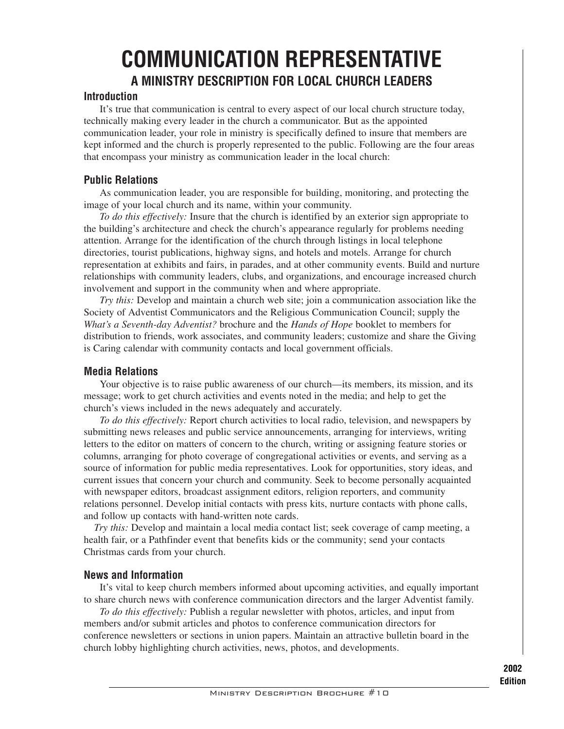# **COMMUNICATION REPRESENTATIVE A MINISTRY DESCRIPTION FOR LOCAL CHURCH LEADERS**

### **Introduction**

It's true that communication is central to every aspect of our local church structure today, technically making every leader in the church a communicator. But as the appointed communication leader, your role in ministry is specifically defined to insure that members are kept informed and the church is properly represented to the public. Following are the four areas that encompass your ministry as communication leader in the local church:

## **Public Relations**

As communication leader, you are responsible for building, monitoring, and protecting the image of your local church and its name, within your community.

*To do this effectively:* Insure that the church is identified by an exterior sign appropriate to the building's architecture and check the church's appearance regularly for problems needing attention. Arrange for the identification of the church through listings in local telephone directories, tourist publications, highway signs, and hotels and motels. Arrange for church representation at exhibits and fairs, in parades, and at other community events. Build and nurture relationships with community leaders, clubs, and organizations, and encourage increased church involvement and support in the community when and where appropriate.

*Try this:* Develop and maintain a church web site; join a communication association like the Society of Adventist Communicators and the Religious Communication Council; supply the *What's a Seventh-day Adventist?* brochure and the *Hands of Hope* booklet to members for distribution to friends, work associates, and community leaders; customize and share the Giving is Caring calendar with community contacts and local government officials.

## **Media Relations**

Your objective is to raise public awareness of our church—its members, its mission, and its message; work to get church activities and events noted in the media; and help to get the church's views included in the news adequately and accurately.

*To do this effectively:* Report church activities to local radio, television, and newspapers by submitting news releases and public service announcements, arranging for interviews, writing letters to the editor on matters of concern to the church, writing or assigning feature stories or columns, arranging for photo coverage of congregational activities or events, and serving as a source of information for public media representatives. Look for opportunities, story ideas, and current issues that concern your church and community. Seek to become personally acquainted with newspaper editors, broadcast assignment editors, religion reporters, and community relations personnel. Develop initial contacts with press kits, nurture contacts with phone calls, and follow up contacts with hand-written note cards.

*Try this:* Develop and maintain a local media contact list; seek coverage of camp meeting, a health fair, or a Pathfinder event that benefits kids or the community; send your contacts Christmas cards from your church.

## **News and Information**

It's vital to keep church members informed about upcoming activities, and equally important to share church news with conference communication directors and the larger Adventist family.

*To do this effectively:* Publish a regular newsletter with photos, articles, and input from members and/or submit articles and photos to conference communication directors for conference newsletters or sections in union papers. Maintain an attractive bulletin board in the church lobby highlighting church activities, news, photos, and developments.